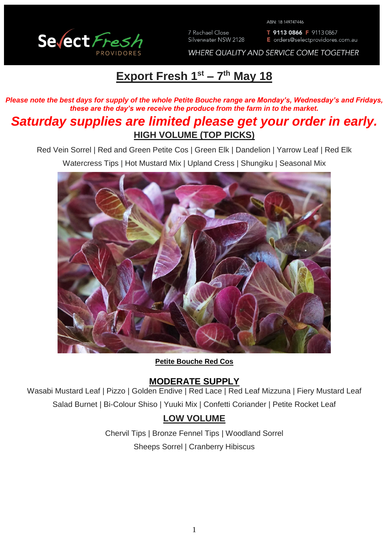

7 Rachael Close Silverwater NSW 2128 ABN: 18 149747446

T 9113 0866 F 9113 0867 E orders@selectprovidores.com.au

WHERE QUALITY AND SERVICE COME TOGETHER

# **Export Fresh 1 st – 7 th May 18**

*Please note the best days for supply of the whole Petite Bouche range are Monday's, Wednesday's and Fridays, these are the day's we receive the produce from the farm in to the market.*

## *Saturday supplies are limited please get your order in early.* **HIGH VOLUME (TOP PICKS)**

Red Vein Sorrel | Red and Green Petite Cos | Green Elk | Dandelion | Yarrow Leaf | Red Elk Watercress Tips | Hot Mustard Mix | Upland Cress | Shungiku | Seasonal Mix



**Petite Bouche Red Cos**

### **MODERATE SUPPLY**

Wasabi Mustard Leaf | Pizzo | Golden Endive | Red Lace | Red Leaf Mizzuna | Fiery Mustard Leaf Salad Burnet | Bi-Colour Shiso | Yuuki Mix | Confetti Coriander | Petite Rocket Leaf

## **LOW VOLUME**

Chervil Tips | Bronze Fennel Tips | Woodland Sorrel Sheeps Sorrel | Cranberry Hibiscus